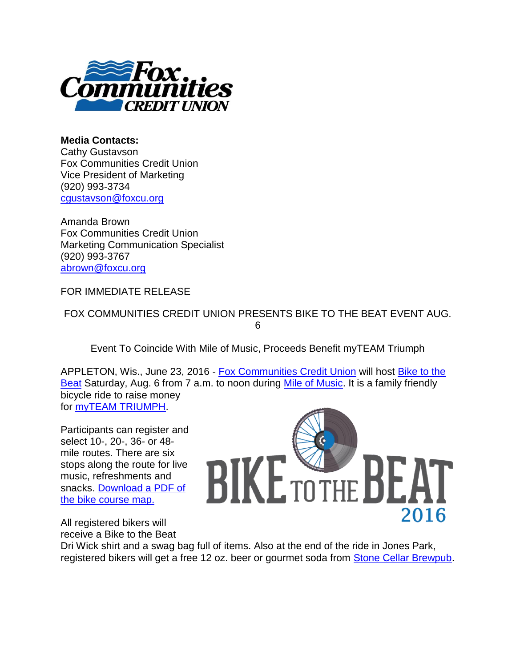

**Media Contacts:**  Cathy Gustavson Fox Communities Credit Union Vice President of Marketing (920) 993-3734 [cgustavson@foxcu.org](mailto:cgustavson@foxcu.org)

Amanda Brown Fox Communities Credit Union Marketing Communication Specialist (920) 993-3767 [abrown@foxcu.org](mailto:abrown@foxcu.org)

FOR IMMEDIATE RELEASE

FOX COMMUNITIES CREDIT UNION PRESENTS BIKE TO THE BEAT EVENT AUG. 6

Event To Coincide With Mile of Music, Proceeds Benefit myTEAM Triumph

APPLETON, Wis., June 23, 2016 - [Fox Communities Credit Union](http://r20.rs6.net/tn.jsp?f=001a0B2OIGrF11aM58WHy6TkMg6DGyWJyNQbXxwCWxwrZxKCW4LLMUhrLlXoXVjFr78Nn_wsH-MZ9Hwv-zW_rFYP0V_FhCm-ylaDTfaZlv1Z6AFTRd4KgIaTdjMRZnVzImIz7de4j3QN1pCiXJuYf0QIAlEx2tiEMYaufV0LXbTRR8=&c=brRHwiltEuOXfYO4Q9kNY3x0UkzrI3BlK1KPQEqpGzlNQK1k_m7BRw==&ch=K_4oTSwk7iOuWV5EJMpS-oSStI11iSKyOisIpdafS76ZDZLO4RTQ1g==) will host [Bike to the](http://r20.rs6.net/tn.jsp?f=001a0B2OIGrF11aM58WHy6TkMg6DGyWJyNQbXxwCWxwrZxKCW4LLMUhrLlXoXVjFr78dyvahV0SQcn0UFyAsSPHtBeFiCeShzDHtl63vS7YUPl_xLtWcHHV9CihmH7d6jupGqs8SImfUzedlQxDByNPvnLk_P-Y0ORHdSq6jFwLzicpOUBGdjdnsw==&c=brRHwiltEuOXfYO4Q9kNY3x0UkzrI3BlK1KPQEqpGzlNQK1k_m7BRw==&ch=K_4oTSwk7iOuWV5EJMpS-oSStI11iSKyOisIpdafS76ZDZLO4RTQ1g==)  [Beat](http://r20.rs6.net/tn.jsp?f=001a0B2OIGrF11aM58WHy6TkMg6DGyWJyNQbXxwCWxwrZxKCW4LLMUhrLlXoXVjFr78dyvahV0SQcn0UFyAsSPHtBeFiCeShzDHtl63vS7YUPl_xLtWcHHV9CihmH7d6jupGqs8SImfUzedlQxDByNPvnLk_P-Y0ORHdSq6jFwLzicpOUBGdjdnsw==&c=brRHwiltEuOXfYO4Q9kNY3x0UkzrI3BlK1KPQEqpGzlNQK1k_m7BRw==&ch=K_4oTSwk7iOuWV5EJMpS-oSStI11iSKyOisIpdafS76ZDZLO4RTQ1g==) Saturday, Aug. 6 from 7 a.m. to noon during [Mile of Music.](http://r20.rs6.net/tn.jsp?f=001a0B2OIGrF11aM58WHy6TkMg6DGyWJyNQbXxwCWxwrZxKCW4LLMUhrLlXoXVjFr781E22NoF3l9-VAgVSyBwyPW9ZBemzA105uRJOT0MKH_3HAtAj8iwqMPRpfYyK3CBJetTYVZADVXU5_o9WSfOSdpXgU0un78VDzhRQP08ba9g=&c=brRHwiltEuOXfYO4Q9kNY3x0UkzrI3BlK1KPQEqpGzlNQK1k_m7BRw==&ch=K_4oTSwk7iOuWV5EJMpS-oSStI11iSKyOisIpdafS76ZDZLO4RTQ1g==) It is a family friendly bicycle ride to raise money for [myTEAM TRIUMPH.](http://r20.rs6.net/tn.jsp?f=001a0B2OIGrF11aM58WHy6TkMg6DGyWJyNQbXxwCWxwrZxKCW4LLMUhrLlXoXVjFr78Y0WvB70bMcieHt_W8S7um5Z6wh65NTotcILDJqzyCX6RfxTUrLqhhk9azV4fBYw7b1ZbJGMuDp01JsM_h3sIyHurMBytgT2UgBuwMaYBwfHwDObRwopR6g==&c=brRHwiltEuOXfYO4Q9kNY3x0UkzrI3BlK1KPQEqpGzlNQK1k_m7BRw==&ch=K_4oTSwk7iOuWV5EJMpS-oSStI11iSKyOisIpdafS76ZDZLO4RTQ1g==)

Participants can register and select 10-, 20-, 36- or 48 mile routes. There are six stops along the route for live music, refreshments and snacks. [Download a PDF of](http://r20.rs6.net/tn.jsp?f=001a0B2OIGrF11aM58WHy6TkMg6DGyWJyNQbXxwCWxwrZxKCW4LLMUhrLlXoXVjFr78sbHr_M23SHikp6BkOI9BbOsOfTLgAKl0KhSm_EQ2UwSahuBN6TpVRasexYQaA8T8tPcXDUgo39RT48ThR05QK9YunT6ET185A8sWLvP1ymsY-OOeC5hYBUIlQUsxAMaxkQS1Uw12cJT2DaOa8-l2Op7w5v2Sk6aT5clVRDyb4XDcm73CQmRgFg==&c=brRHwiltEuOXfYO4Q9kNY3x0UkzrI3BlK1KPQEqpGzlNQK1k_m7BRw==&ch=K_4oTSwk7iOuWV5EJMpS-oSStI11iSKyOisIpdafS76ZDZLO4RTQ1g==)  [the bike course map.](http://r20.rs6.net/tn.jsp?f=001a0B2OIGrF11aM58WHy6TkMg6DGyWJyNQbXxwCWxwrZxKCW4LLMUhrLlXoXVjFr78sbHr_M23SHikp6BkOI9BbOsOfTLgAKl0KhSm_EQ2UwSahuBN6TpVRasexYQaA8T8tPcXDUgo39RT48ThR05QK9YunT6ET185A8sWLvP1ymsY-OOeC5hYBUIlQUsxAMaxkQS1Uw12cJT2DaOa8-l2Op7w5v2Sk6aT5clVRDyb4XDcm73CQmRgFg==&c=brRHwiltEuOXfYO4Q9kNY3x0UkzrI3BlK1KPQEqpGzlNQK1k_m7BRw==&ch=K_4oTSwk7iOuWV5EJMpS-oSStI11iSKyOisIpdafS76ZDZLO4RTQ1g==)

All registered bikers will receive a Bike to the Beat



Dri Wick shirt and a swag bag full of items. Also at the end of the ride in Jones Park, registered bikers will get a free 12 oz. beer or gourmet soda from [Stone Cellar Brewpub.](http://r20.rs6.net/tn.jsp?f=001a0B2OIGrF11aM58WHy6TkMg6DGyWJyNQbXxwCWxwrZxKCW4LLMUhrLlXoXVjFr78JcaqagpB5lmFd8pwDten3ixkJ3rditrTswFmrkL2vPH1qIXN858p9_y01Jns_-dDw9Wbkpr8gkm8yqc4ZvZDstbIai3SMUifRVuoE3HuFYffYFmxHOPjwtohgmDk0sA7&c=brRHwiltEuOXfYO4Q9kNY3x0UkzrI3BlK1KPQEqpGzlNQK1k_m7BRw==&ch=K_4oTSwk7iOuWV5EJMpS-oSStI11iSKyOisIpdafS76ZDZLO4RTQ1g==)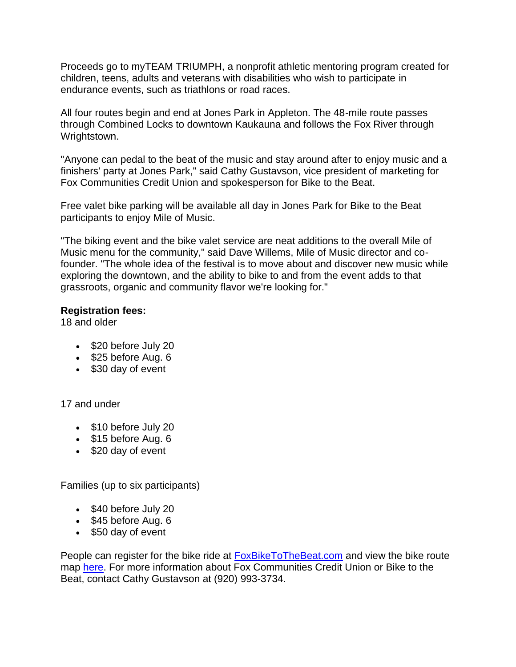Proceeds go to myTEAM TRIUMPH, a nonprofit athletic mentoring program created for children, teens, adults and veterans with disabilities who wish to participate in endurance events, such as triathlons or road races.

All four routes begin and end at Jones Park in Appleton. The 48-mile route passes through Combined Locks to downtown Kaukauna and follows the Fox River through Wrightstown.

"Anyone can pedal to the beat of the music and stay around after to enjoy music and a finishers' party at Jones Park," said Cathy Gustavson, vice president of marketing for Fox Communities Credit Union and spokesperson for Bike to the Beat.

Free valet bike parking will be available all day in Jones Park for Bike to the Beat participants to enjoy Mile of Music.

"The biking event and the bike valet service are neat additions to the overall Mile of Music menu for the community," said Dave Willems, Mile of Music director and cofounder. "The whole idea of the festival is to move about and discover new music while exploring the downtown, and the ability to bike to and from the event adds to that grassroots, organic and community flavor we're looking for."

## **Registration fees:**

18 and older

- $\bullet$  \$20 before July 20
- $\bullet$  \$25 before Aug. 6
- \$30 day of event

17 and under

- \$10 before July 20
- $\bullet$  \$15 before Aug. 6
- $\bullet$  \$20 day of event

Families (up to six participants)

- \$40 before July 20
- $\bullet$  \$45 before Aug. 6
- \$50 day of event

People can register for the bike ride at [FoxBikeToTheBeat.com](http://r20.rs6.net/tn.jsp?f=001a0B2OIGrF11aM58WHy6TkMg6DGyWJyNQbXxwCWxwrZxKCW4LLMUhrLlXoXVjFr78dyvahV0SQcn0UFyAsSPHtBeFiCeShzDHtl63vS7YUPl_xLtWcHHV9CihmH7d6jupGqs8SImfUzedlQxDByNPvnLk_P-Y0ORHdSq6jFwLzicpOUBGdjdnsw==&c=brRHwiltEuOXfYO4Q9kNY3x0UkzrI3BlK1KPQEqpGzlNQK1k_m7BRw==&ch=K_4oTSwk7iOuWV5EJMpS-oSStI11iSKyOisIpdafS76ZDZLO4RTQ1g==) and view the bike route map [here.](http://r20.rs6.net/tn.jsp?f=001a0B2OIGrF11aM58WHy6TkMg6DGyWJyNQbXxwCWxwrZxKCW4LLMUhrLlXoXVjFr78sbHr_M23SHikp6BkOI9BbOsOfTLgAKl0KhSm_EQ2UwSahuBN6TpVRasexYQaA8T8tPcXDUgo39RT48ThR05QK9YunT6ET185A8sWLvP1ymsY-OOeC5hYBUIlQUsxAMaxkQS1Uw12cJT2DaOa8-l2Op7w5v2Sk6aT5clVRDyb4XDcm73CQmRgFg==&c=brRHwiltEuOXfYO4Q9kNY3x0UkzrI3BlK1KPQEqpGzlNQK1k_m7BRw==&ch=K_4oTSwk7iOuWV5EJMpS-oSStI11iSKyOisIpdafS76ZDZLO4RTQ1g==) For more information about Fox Communities Credit Union or Bike to the Beat, contact Cathy Gustavson at (920) 993-3734.